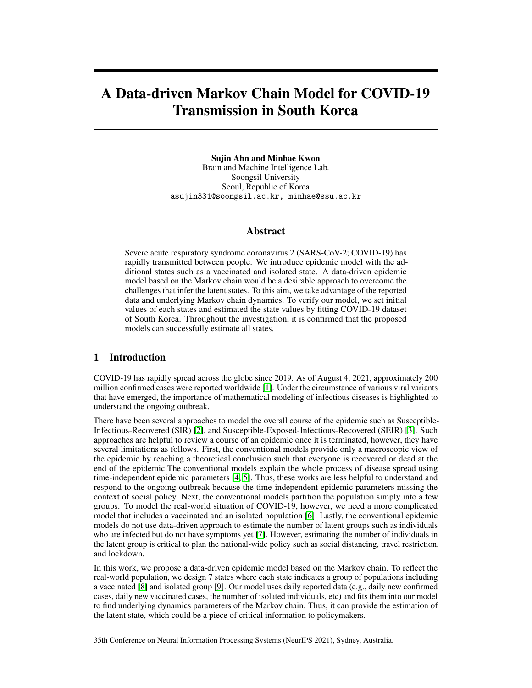# A Data-driven Markov Chain Model for COVID-19 Transmission in South Korea

Sujin Ahn and Minhae Kwon Brain and Machine Intelligence Lab. Soongsil University Seoul, Republic of Korea asujin331@soongsil.ac.kr, minhae@ssu.ac.kr

## Abstract

Severe acute respiratory syndrome coronavirus 2 (SARS-CoV-2; COVID-19) has rapidly transmitted between people. We introduce epidemic model with the additional states such as a vaccinated and isolated state. A data-driven epidemic model based on the Markov chain would be a desirable approach to overcome the challenges that infer the latent states. To this aim, we take advantage of the reported data and underlying Markov chain dynamics. To verify our model, we set initial values of each states and estimated the state values by fitting COVID-19 dataset of South Korea. Throughout the investigation, it is confirmed that the proposed models can successfully estimate all states.

# 1 Introduction

COVID-19 has rapidly spread across the globe since 2019. As of August 4, 2021, approximately 200 million confirmed cases were reported worldwide [\[1\]](#page-4-0). Under the circumstance of various viral variants that have emerged, the importance of mathematical modeling of infectious diseases is highlighted to understand the ongoing outbreak.

There have been several approaches to model the overall course of the epidemic such as Susceptible-Infectious-Recovered (SIR) [\[2\]](#page-4-1), and Susceptible-Exposed-Infectious-Recovered (SEIR) [\[3\]](#page-4-2). Such approaches are helpful to review a course of an epidemic once it is terminated, however, they have several limitations as follows. First, the conventional models provide only a macroscopic view of the epidemic by reaching a theoretical conclusion such that everyone is recovered or dead at the end of the epidemic.The conventional models explain the whole process of disease spread using time-independent epidemic parameters [\[4,](#page-4-3) [5\]](#page-4-4). Thus, these works are less helpful to understand and respond to the ongoing outbreak because the time-independent epidemic parameters missing the context of social policy. Next, the conventional models partition the population simply into a few groups. To model the real-world situation of COVID-19, however, we need a more complicated model that includes a vaccinated and an isolated population [\[6\]](#page-4-5). Lastly, the conventional epidemic models do not use data-driven approach to estimate the number of latent groups such as individuals who are infected but do not have symptoms yet [\[7\]](#page-4-6). However, estimating the number of individuals in the latent group is critical to plan the national-wide policy such as social distancing, travel restriction, and lockdown.

In this work, we propose a data-driven epidemic model based on the Markov chain. To reflect the real-world population, we design 7 states where each state indicates a group of populations including a vaccinated [\[8\]](#page-4-7) and isolated group [\[9\]](#page-4-8). Our model uses daily reported data (e.g., daily new confirmed cases, daily new vaccinated cases, the number of isolated individuals, etc) and fits them into our model to find underlying dynamics parameters of the Markov chain. Thus, it can provide the estimation of the latent state, which could be a piece of critical information to policymakers.

35th Conference on Neural Information Processing Systems (NeurIPS 2021), Sydney, Australia.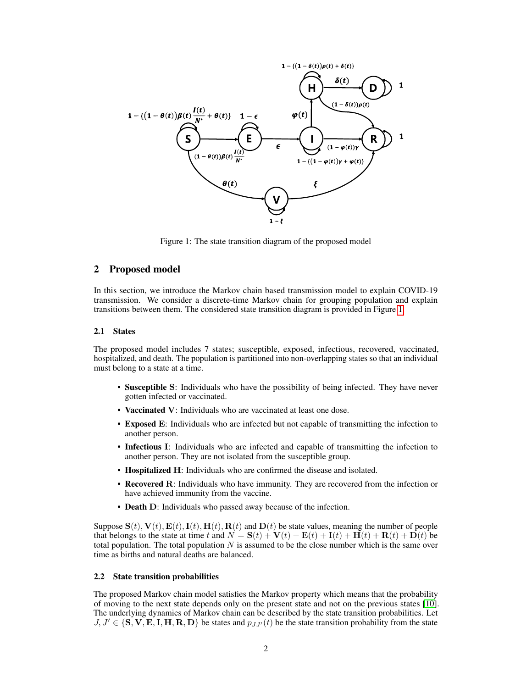

<span id="page-1-0"></span>Figure 1: The state transition diagram of the proposed model

## 2 Proposed model

In this section, we introduce the Markov chain based transmission model to explain COVID-19 transmission. We consider a discrete-time Markov chain for grouping population and explain transitions between them. The considered state transition diagram is provided in Figure [1.](#page-1-0)

#### 2.1 States

The proposed model includes 7 states; susceptible, exposed, infectious, recovered, vaccinated, hospitalized, and death. The population is partitioned into non-overlapping states so that an individual must belong to a state at a time.

- Susceptible S: Individuals who have the possibility of being infected. They have never gotten infected or vaccinated.
- Vaccinated V: Individuals who are vaccinated at least one dose.
- Exposed E: Individuals who are infected but not capable of transmitting the infection to another person.
- Infectious I: Individuals who are infected and capable of transmitting the infection to another person. They are not isolated from the susceptible group.
- Hospitalized H: Individuals who are confirmed the disease and isolated.
- Recovered R: Individuals who have immunity. They are recovered from the infection or have achieved immunity from the vaccine.
- Death D: Individuals who passed away because of the infection.

Suppose  $S(t)$ ,  $V(t)$ ,  $E(t)$ ,  $I(t)$ ,  $H(t)$ ,  $R(t)$  and  $D(t)$  be state values, meaning the number of people that belongs to the state at time t and  $N = S(t) + V(t) + E(t) + I(t) + H(t) + D(t)$  be total population. The total population  $N$  is assumed to be the close number which is the same over time as births and natural deaths are balanced.

#### 2.2 State transition probabilities

The proposed Markov chain model satisfies the Markov property which means that the probability of moving to the next state depends only on the present state and not on the previous states [\[10\]](#page-4-9). The underlying dynamics of Markov chain can be described by the state transition probabilities. Let  $J, J' \in \{S, V, E, I, H, R, D\}$  be states and  $p_{JJ'}(t)$  be the state transition probability from the state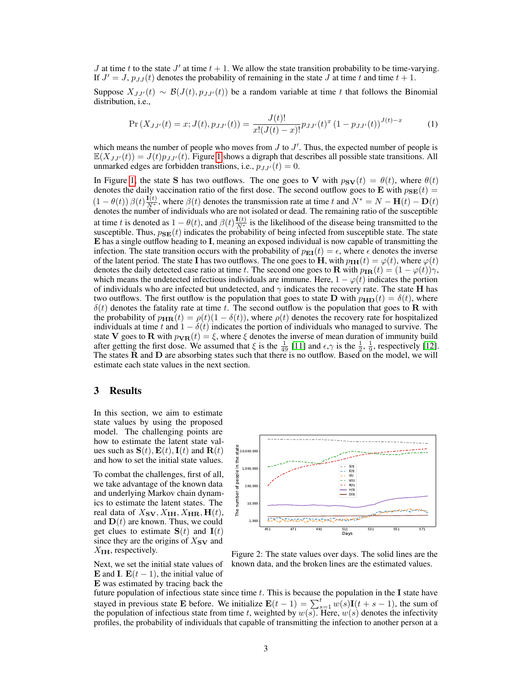J at time t to the state  $J'$  at time  $t + 1$ . We allow the state transition probability to be time-varying. If  $J' = J$ ,  $p_{JJ}(t)$  denotes the probability of remaining in the state  $J$  at time  $t$  and time  $t + 1$ .

Suppose  $X_{JJ'}(t) \sim \mathcal{B}(J(t), p_{JJ'}(t))$  be a random variable at time t that follows the Binomial distribution, i.e.,

$$
\Pr\left(X_{JJ'}(t) = x; J(t), p_{JJ'}(t)\right) = \frac{J(t)!}{x!(J(t) - x)!} p_{JJ'}(t)^x \left(1 - p_{JJ'}(t)\right)^{J(t) - x} \tag{1}
$$

which means the number of people who moves from  $J$  to  $J'$ . Thus, the expected number of people is  $\mathbb{E}(X_{JJ'}(t)) = J(t)p_{JJ'}(t)$ . Figure [1](#page-1-0) shows a digraph that describes all possible state transitions. All unmarked edges are forbidden transitions, i.e.,  $p_{JJ'}(t) = 0$ .

In Figure [1,](#page-1-0) the state S has two outflows. The one goes to V with  $p_{SV}(t) = \theta(t)$ , where  $\theta(t)$ denotes the daily vaccination ratio of the first dose. The second outflow goes to E with  $p_{\text{SE}}(t)$  =  $(1 - \theta(t)) \beta(t) \frac{\mathbf{I}(t)}{N^*}$ , where  $\beta(t)$  denotes the transmission rate at time t and  $N^* = N - \mathbf{H}(t) - \mathbf{D}(t)$ denotes the number of individuals who are not isolated or dead. The remaining ratio of the susceptible at time t is denoted as  $1 - \theta(t)$ , and  $\beta(t) \frac{\mathbf{I}(t)}{N^*}$  is the likelihood of the disease being transmitted to the susceptible. Thus,  $p_{\text{SE}}(t)$  indicates the probability of being infected from susceptible state. The state E has a single outflow heading to I, meaning an exposed individual is now capable of transmitting the infection. The state transition occurs with the probability of  $p_{\text{EI}}(t) = \epsilon$ , where  $\epsilon$  denotes the inverse of the latent period. The state I has two outflows. The one goes to H, with  $p_{\text{IH}}(t) = \varphi(t)$ , where  $\varphi(t)$ denotes the daily detected case ratio at time t. The second one goes to **R** with  $p_{\text{IR}}(t) = (1 - \varphi(t))\gamma$ , which means the undetected infectious individuals are immune. Here,  $1 - \varphi(t)$  indicates the portion of individuals who are infected but undetected, and  $\gamma$  indicates the recovery rate. The state H has two outflows. The first outflow is the population that goes to state D with  $p_{\text{HD}}(t) = \delta(t)$ , where  $\delta(t)$  denotes the fatality rate at time t. The second outflow is the population that goes to **R** with the probability of  $p_{\text{HR}}(t) = \rho(t)(1 - \delta(t))$ , where  $\rho(t)$  denotes the recovery rate for hospitalized individuals at time t and  $1 - \delta(t)$  indicates the portion of individuals who managed to survive. The state V goes to R with  $p_{\text{VR}}(t) = \xi$ , where  $\xi$  denotes the inverse of mean duration of immunity build after getting the first dose. We assumed that  $\xi$  is the  $\frac{1}{49}$  [\[11\]](#page-4-10) and  $\epsilon, \gamma$  is the  $\frac{1}{2}$ ,  $\frac{1}{9}$ , respectively [\[12\]](#page-4-11). The states R and D are absorbing states such that there is no outflow. Based on the model, we will estimate each state values in the next section.

## 3 Results

In this section, we aim to estimate state values by using the proposed model. The challenging points are how to estimate the latent state values such as  $S(t)$ ,  $E(t)$ ,  $I(t)$  and  $R(t)$ and how to set the initial state values.

To combat the challenges, first of all, we take advantage of the known data and underlying Markov chain dynamics to estimate the latent states. The real data of  $X_{\text{SV}}, X_{\text{IH}}, X_{\text{HR}}, \text{H}(t)$ , and  $D(t)$  are known. Thus, we could get clues to estimate  $S(t)$  and  $I(t)$ since they are the origins of  $X_{S\mathbf{V}}$  and  $X_{\text{IH}}$ , respectively.

Next, we set the initial state values of E and I.  $E(t-1)$ , the initial value of E was estimated by tracing back the



<span id="page-2-0"></span>Figure 2: The state values over days. The solid lines are the known data, and the broken lines are the estimated values.

future population of infectious state since time  $t$ . This is because the population in the I state have stayed in previous state **E** before. We initialize  $\mathbf{E}(t-1) = \sum_{s=1}^{t} w(s) \mathbf{I}(t+s-1)$ , the sum of the population of infectious state from time t, weighted by  $w(s)$ . Here,  $w(s)$  denotes the infectivity profiles, the probability of individuals that capable of transmitting the infection to another person at a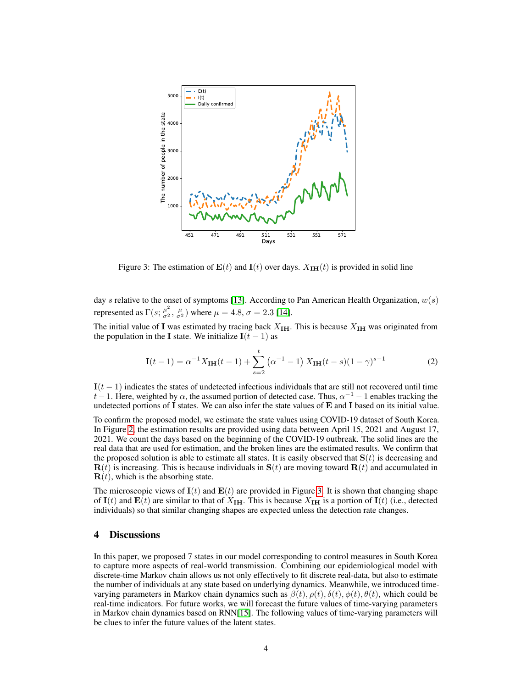

<span id="page-3-0"></span>Figure 3: The estimation of  $E(t)$  and  $I(t)$  over days.  $X_{I}H(t)$  is provided in solid line

day s relative to the onset of symptoms [\[13\]](#page-4-12). According to Pan American Health Organization,  $w(s)$ represented as  $\Gamma(s; \frac{\mu^2}{\sigma^2}, \frac{\mu}{\sigma^2})$  where  $\mu = 4.8$ ,  $\sigma = 2.3$  [\[14\]](#page-4-13).

The initial value of I was estimated by tracing back  $X_{\text{IH}}$ . This is because  $X_{\text{IH}}$  was originated from the population in the I state. We initialize  $I(t-1)$  as

$$
\mathbf{I}(t-1) = \alpha^{-1} X_{\mathbf{IH}}(t-1) + \sum_{s=2}^{t} (\alpha^{-1} - 1) X_{\mathbf{IH}}(t-s)(1-\gamma)^{s-1}
$$
(2)

 $I(t - 1)$  indicates the states of undetected infectious individuals that are still not recovered until time  $t-1$ . Here, weighted by  $\alpha$ , the assumed portion of detected case. Thus,  $\alpha^{-1} - 1$  enables tracking the undetected portions of  $I$  states. We can also infer the state values of  $E$  and  $I$  based on its initial value.

To confirm the proposed model, we estimate the state values using COVID-19 dataset of South Korea. In Figure [2,](#page-2-0) the estimation results are provided using data between April 15, 2021 and August 17, 2021. We count the days based on the beginning of the COVID-19 outbreak. The solid lines are the real data that are used for estimation, and the broken lines are the estimated results. We confirm that the proposed solution is able to estimate all states. It is easily observed that  $S(t)$  is decreasing and  **is increasing. This is because individuals in**  $**S**(t)$  **are moving toward**  $**R**(t)$  **and accumulated in , which is the absorbing state.** 

The microscopic views of  $I(t)$  and  $E(t)$  are provided in Figure [3.](#page-3-0) It is shown that changing shape of I(t) and E(t) are similar to that of  $X_{\text{IH}}$ . This is because  $X_{\text{IH}}$  is a portion of I(t) (i.e., detected individuals) so that similar changing shapes are expected unless the detection rate changes.

## 4 Discussions

In this paper, we proposed 7 states in our model corresponding to control measures in South Korea to capture more aspects of real-world transmission. Combining our epidemiological model with discrete-time Markov chain allows us not only effectively to fit discrete real-data, but also to estimate the number of individuals at any state based on underlying dynamics. Meanwhile, we introduced timevarying parameters in Markov chain dynamics such as  $\beta(t)$ ,  $\rho(t)$ ,  $\delta(t)$ ,  $\phi(t)$ ,  $\theta(t)$ , which could be real-time indicators. For future works, we will forecast the future values of time-varying parameters in Markov chain dynamics based on RNN[\[15\]](#page-4-14). The following values of time-varying parameters will be clues to infer the future values of the latent states.